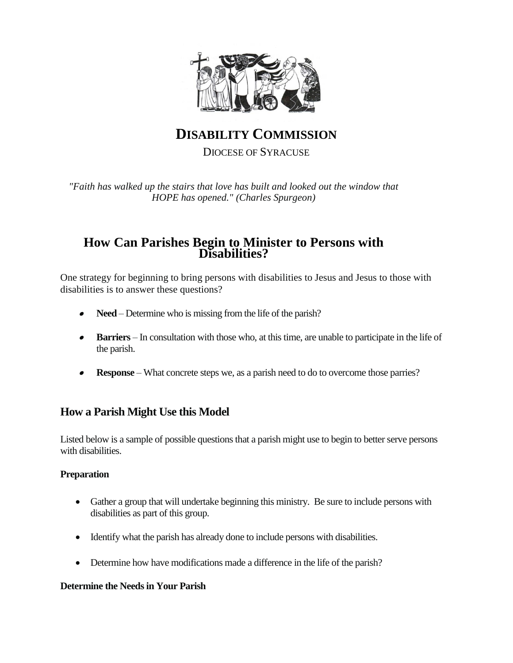

# **DISABILITY COMMISSION** DIOCESE OF SYRACUSE

*"Faith has walked up the stairs that love has built and looked out the window that HOPE has opened." (Charles Spurgeon)*

### **How Can Parishes Begin to Minister to Persons with Disabilities?**

One strategy for beginning to bring persons with disabilities to Jesus and Jesus to those with disabilities is to answer these questions?

- $\bullet$ **Need** – Determine who is missing from the life of the parish?
- $\bullet$  **Barriers** – In consultation with those who, at this time, are unable to participate in the life of the parish.
- 0 **Response** – What concrete steps we, as a parish need to do to overcome those parries?

## **How a Parish Might Use this Model**

Listed below is a sample of possible questions that a parish might use to begin to better serve persons with disabilities.

#### **Preparation**

- Gather a group that will undertake beginning this ministry. Be sure to include persons with disabilities as part of this group.
- Identify what the parish has already done to include persons with disabilities.
- Determine how have modifications made a difference in the life of the parish?

#### **Determine the Needs in Your Parish**